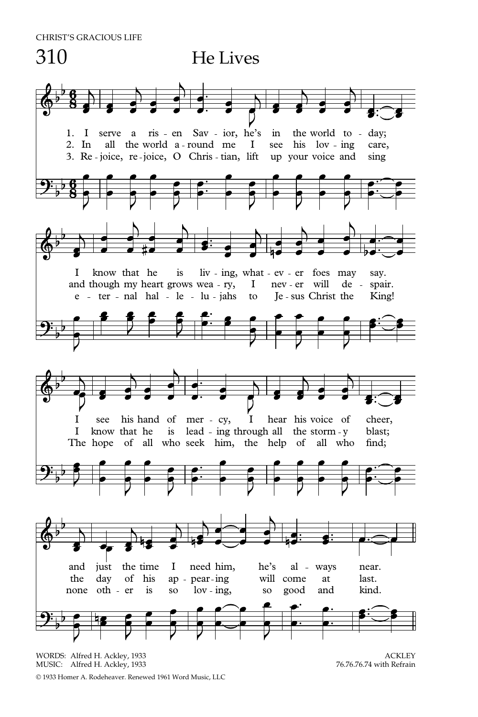CHRIST'S GRACIOUS LIFE

## and the none oth - er just the time day of his is I ap pear ing so need him, lov - ing, he's will come so al ways good at and near. last. kind. I I The hope of all who seek him, the help of all who see know that he his hand of mer cy, is lead - ing through all the storm - y I hear his voice of cheer, blast; find; I and though my heart grows wea ry, e - ter - nal hal - le - lu - jahs know that he is liv - ing, what - ev - er foes may I to nev er will Je sus Christ the de say. spair. King! 310 1. 2. In 3. Re joice, re joice, O Chris tian, lift up your voice and I serve a all the world a-round me I ris en Sav ior, he's He Lives in see his lov - ing the world to - day; care, sing

WORDS: Alfred H. Ackley, 1933 MUSIC: Alfred H. Ackley, 1933 76.76.76.74 with Refrain

© 1933 Homer A. Rodeheaver. Renewed 1961 Word Music, LLC

ACKLEY<br>76.76.76.74 with Refrain